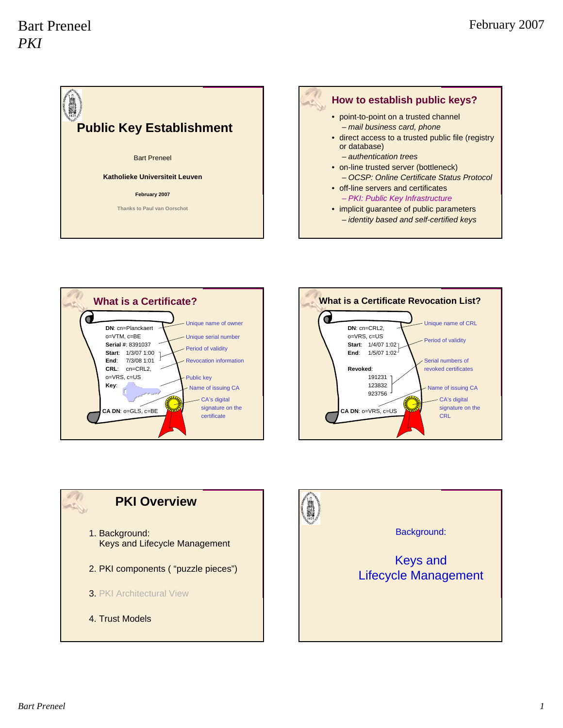

#### **How to establish public keys?**

- point-to-point on a trusted channel – *mail business card, phone*
- direct access to a trusted public file (registry or database)
	- *authentication trees*
- on-line trusted server (bottleneck) – *OCSP: Online Certificate Status Protocol*
- off-line servers and certificates – *PKI: Public Key Infrastructure*
- implicit guarantee of public parameters – *identity based and self-certified keys*





# **PKI Overview** 1. Background: Keys and Lifecycle Management 2. PKI components ( "puzzle pieces") 3. PKI Architectural View 4. Trust Models

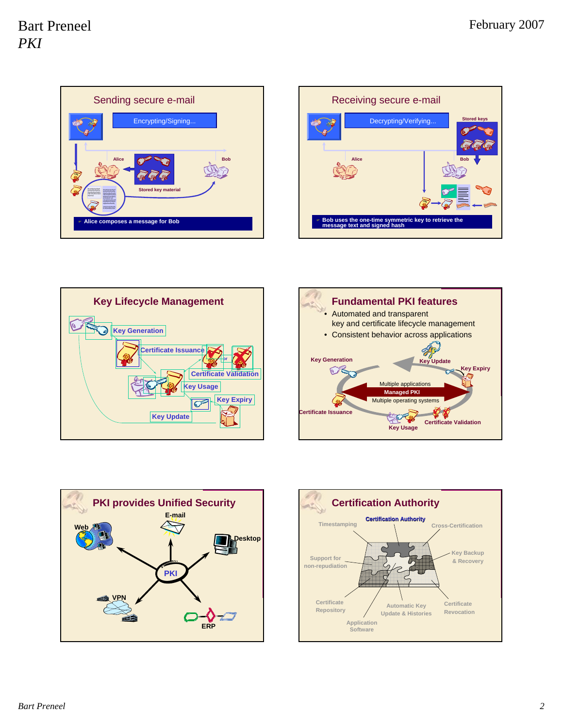









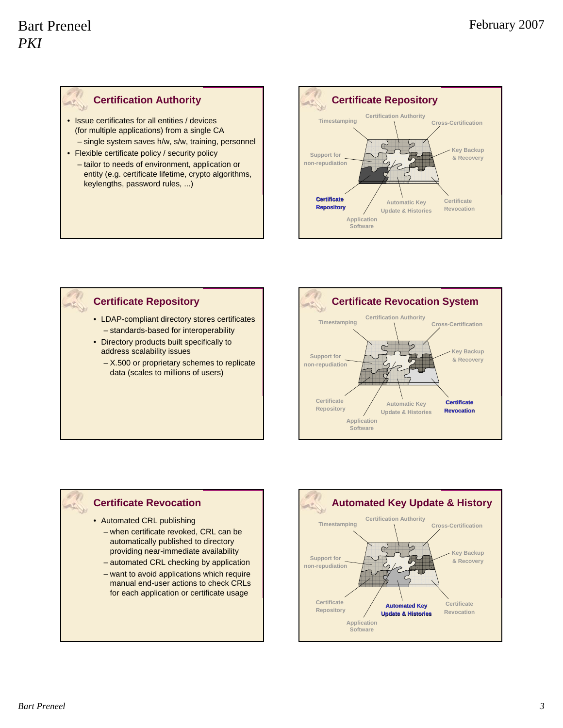#### **Certification Authority**

- Issue certificates for all entities / devices (for multiple applications) from a single CA
- single system saves h/w, s/w, training, personnel
- Flexible certificate policy / security policy
- tailor to needs of environment, application or entity (e.g. certificate lifetime, crypto algorithms, keylengths, password rules, ...)



## **Certificate Repository**

- LDAP-compliant directory stores certificates – standards-based for interoperability
- Directory products built specifically to address scalability issues
	- X.500 or proprietary schemes to replicate data (scales to millions of users)



#### **Certificate Revocation**

• Automated CRL publishing

- when certificate revoked, CRL can be automatically published to directory providing near-immediate availability
- automated CRL checking by application
- want to avoid applications which require manual end-user actions to check CRLs for each application or certificate usage

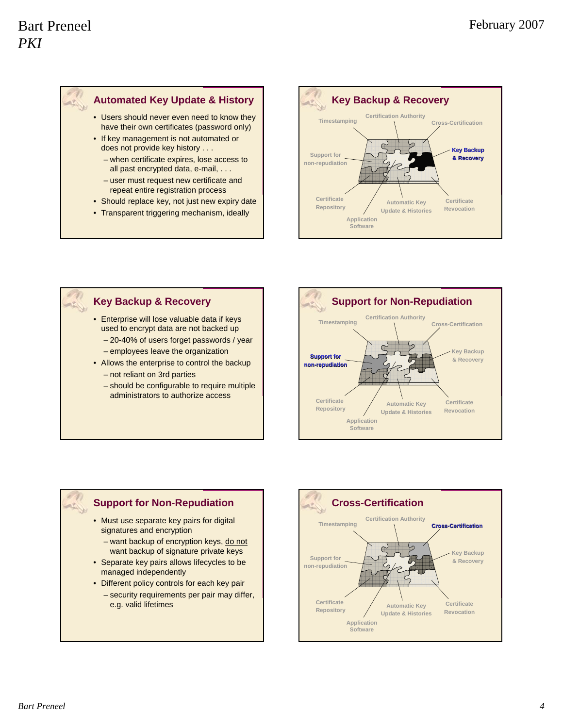

- Users should never even need to know they have their own certificates (password only)
- If key management is not automated or does not provide key history . . .
	- when certificate expires, lose access to all past encrypted data, e-mail, . . .
	- user must request new certificate and repeat entire registration process
- Should replace key, not just new expiry date
- Transparent triggering mechanism, ideally



## **Key Backup & Recovery**

- Enterprise will lose valuable data if keys used to encrypt data are not backed up
	- 20-40% of users forget passwords / year
	- employees leave the organization
- Allows the enterprise to control the backup – not reliant on 3rd parties
	- should be configurable to require multiple administrators to authorize access



## **Support for Non-Repudiation**

- Must use separate key pairs for digital signatures and encryption
	- want backup of encryption keys, do not want backup of signature private keys
- Separate key pairs allows lifecycles to be managed independently
- Different policy controls for each key pair
	- security requirements per pair may differ, e.g. valid lifetimes

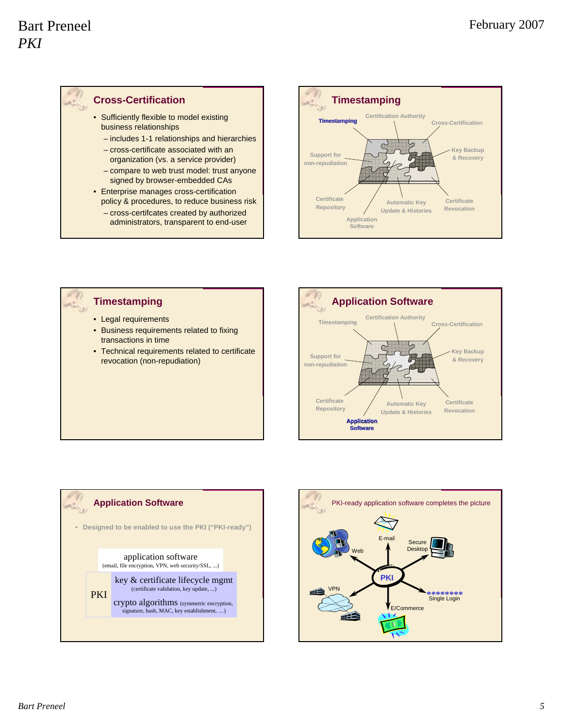#### **Cross-Certification**

- Sufficiently flexible to model existing business relationships
	- includes 1-1 relationships and hierarchies
	- cross-certificate associated with an organization (vs. a service provider)
	- compare to web trust model: trust anyone signed by browser-embedded CAs
- Enterprise manages cross-certification policy & procedures, to reduce business risk
	- cross-certifcates created by authorized administrators, transparent to end-user





#### **Timestamping**

- Legal requirements
- Business requirements related to fixing transactions in time
- Technical requirements related to certificate revocation (non-repudiation)





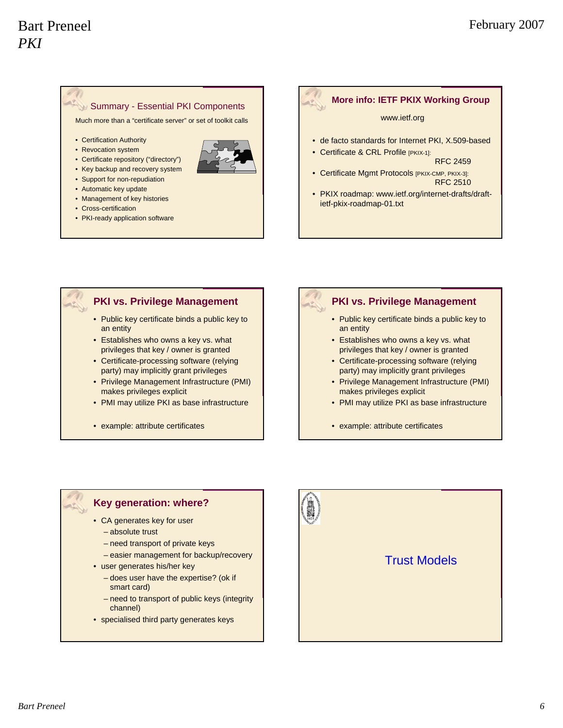#### **Summary - Essential PKI Components**

Much more than a "certificate server" or set of toolkit calls

- Certification Authority
- Revocation system



- Certificate repository ("directory")
- Key backup and recovery system
- Support for non-repudiation
- Automatic key update
- Management of key histories
- Cross-certification
- PKI-ready application software

#### **More info: IETF PKIX Working Group**

#### www.ietf.org

- de facto standards for Internet PKI, X.509-based
- Certificate & CRL Profile [PKIX-1]: RFC 2459
- Certificate Mgmt Protocols [PKIX-CMP, PKIX-3]: RFC 2510
- PKIX roadmap: www.ietf.org/internet-drafts/draftietf-pkix-roadmap-01.txt

#### **PKI vs. Privilege Management**

- Public key certificate binds a public key to an entity
- Establishes who owns a key vs. what privileges that key / owner is granted
- Certificate-processing software (relying party) may implicitly grant privileges
- Privilege Management Infrastructure (PMI) makes privileges explicit
- PMI may utilize PKI as base infrastructure
- example: attribute certificates

#### **PKI vs. Privilege Management**

- Public key certificate binds a public key to an entity
- Establishes who owns a key vs. what privileges that key / owner is granted
- Certificate-processing software (relying party) may implicitly grant privileges
- Privilege Management Infrastructure (PMI) makes privileges explicit
- PMI may utilize PKI as base infrastructure
- example: attribute certificates

#### **Key generation: where?**

- CA generates key for user
	- absolute trust
	- need transport of private keys
	- easier management for backup/recovery
- user generates his/her key
	- does user have the expertise? (ok if smart card)
	- need to transport of public keys (integrity channel)
- specialised third party generates keys



## Trust Models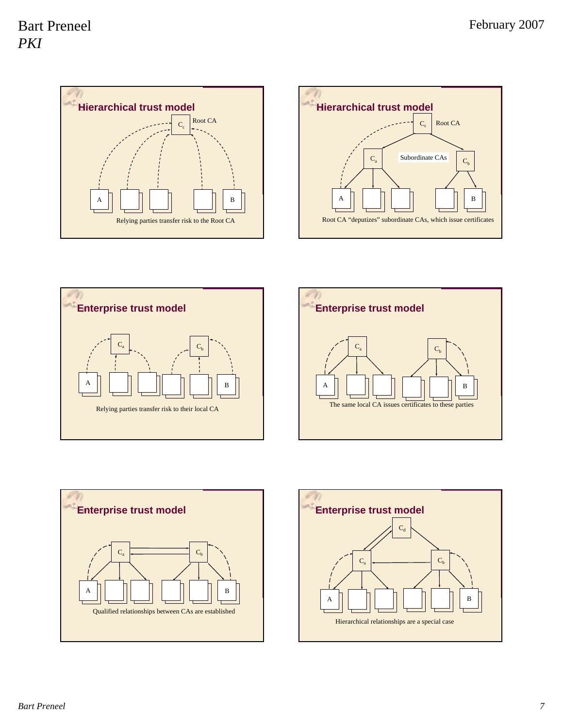









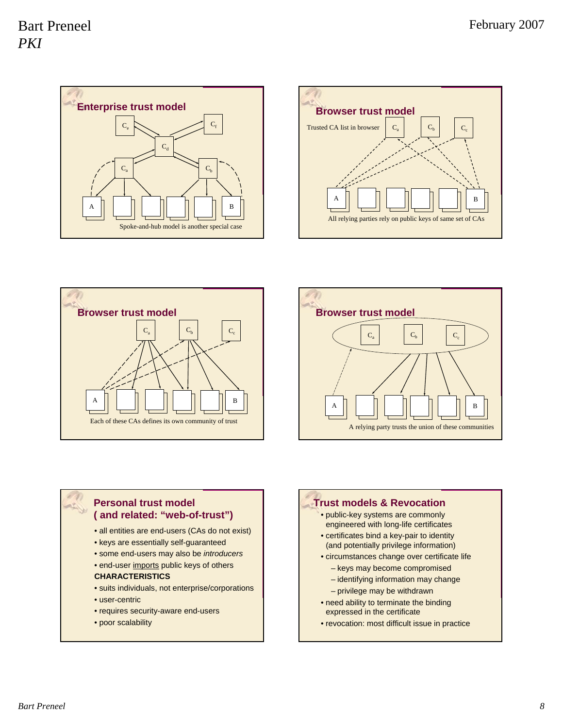







#### **Personal trust model ( and related: "web-of-trust")**

- all entities are end-users (CAs do not exist)
- keys are essentially self-guaranteed
- some end-users may also be *introducers*
- end-user imports public keys of others

#### **CHARACTERISTICS**

- suits individuals, not enterprise/corporations
- user-centric
- requires security-aware end-users
- poor scalability

#### **Trust models & Revocation**

- public-key systems are commonly engineered with long-life certificates
- certificates bind a key-pair to identity (and potentially privilege information)
- circumstances change over certificate life
	- keys may become compromised
	- identifying information may change
	- privilege may be withdrawn
- need ability to terminate the binding expressed in the certificate
- revocation: most difficult issue in practice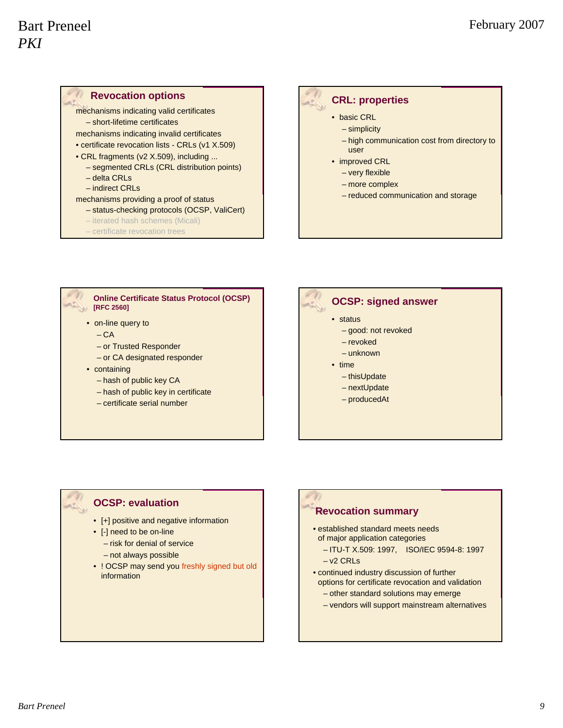#### **Revocation options** mechanisms indicating valid certificates – short-lifetime certificates mechanisms indicating invalid certificates • certificate revocation lists - CRLs (v1 X.509) • CRL fragments (v2 X.509), including ... – segmented CRLs (CRL distribution points) – delta CRLs

- indirect CRLs
- mechanisms providing a proof of status
	- status-checking protocols (OCSP, ValiCert)
	- iterated hash schemes (Micali)
	- certificate revocation trees

#### **CRL: properties**

- basic CRL
	- simplicity
	- high communication cost from directory to user
- improved CRL
	- very flexible
	- more complex
	- reduced communication and storage

**Online Certificate Status Protocol (OCSP) [RFC 2560]**

- on-line query to
	- $-*CA*$
	- or Trusted Responder
	- or CA designated responder
- containing
	- hash of public key CA
	- hash of public key in certificate
	- certificate serial number



- status
	- good: not revoked
	- revoked
	- unknown
- time
	- thisUpdate
	- nextUpdate
	- producedAt

#### **OCSP: evaluation**

- [+] positive and negative information
- [-] need to be on-line
- risk for denial of service
	- not always possible
- ! OCSP may send you freshly signed but old information

## **Revocation summary**

- established standard meets needs of major application categories
	- ITU-T X.509: 1997, ISO/IEC 9594-8: 1997 – v2 CRLs
- continued industry discussion of further options for certificate revocation and validation
	- other standard solutions may emerge
	- vendors will support mainstream alternatives